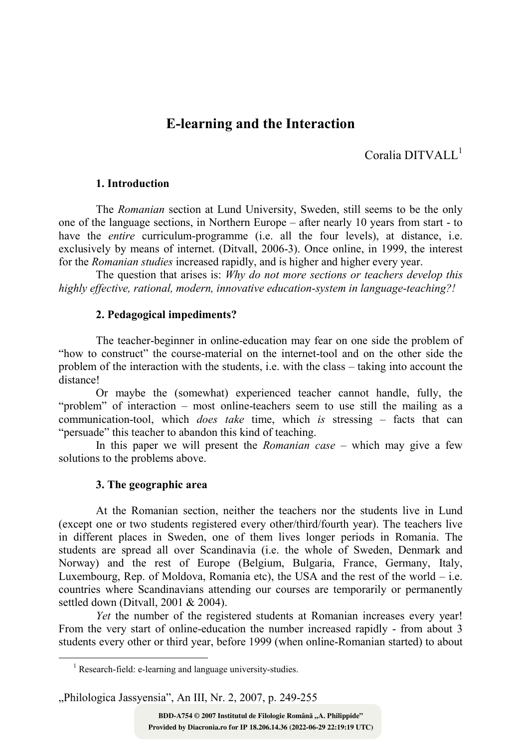# E-learning and the Interaction

Coralia DITVALL<sup>1</sup>

## 1. Introduction

The Romanian section at Lund University, Sweden, still seems to be the only one of the language sections, in Northern Europe – after nearly 10 years from start - to have the *entire* curriculum-programme (i.e. all the four levels), at distance, i.e. exclusively by means of internet. (Ditvall, 2006-3). Once online, in 1999, the interest for the Romanian studies increased rapidly, and is higher and higher every year.

The question that arises is: Why do not more sections or teachers develop this highly effective, rational, modern, innovative education-system in language-teaching?!

#### 2. Pedagogical impediments?

The teacher-beginner in online-education may fear on one side the problem of "how to construct" the course-material on the internet-tool and on the other side the problem of the interaction with the students, i.e. with the class – taking into account the distance!

Or maybe the (somewhat) experienced teacher cannot handle, fully, the "problem" of interaction – most online-teachers seem to use still the mailing as a communication-tool, which *does take* time, which is stressing  $-$  facts that can "persuade" this teacher to abandon this kind of teaching.

In this paper we will present the *Romanian case –* which may give a few solutions to the problems above.

## 3. The geographic area

 $\overline{a}$ 

At the Romanian section, neither the teachers nor the students live in Lund (except one or two students registered every other/third/fourth year). The teachers live in different places in Sweden, one of them lives longer periods in Romania. The students are spread all over Scandinavia (i.e. the whole of Sweden, Denmark and Norway) and the rest of Europe (Belgium, Bulgaria, France, Germany, Italy, Luxembourg, Rep. of Moldova, Romania etc), the USA and the rest of the world  $-$  i.e. countries where Scandinavians attending our courses are temporarily or permanently settled down (Ditvall,  $2001 \& 2004$ ).

Yet the number of the registered students at Romanian increases every year! From the very start of online-education the number increased rapidly - from about 3 students every other or third year, before 1999 (when online-Romanian started) to about

"Philologica Jassyensia", An III, Nr. 2, 2007, p. 249-255

<sup>&</sup>lt;sup>1</sup> Research-field: e-learning and language university-studies.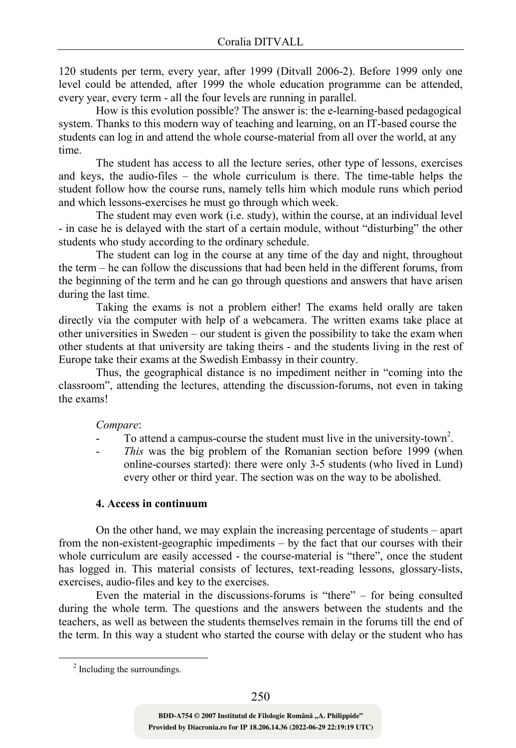120 students per term, every year, after 1999 (Ditvall 2006-2). Before 1999 only one level could be attended, after 1999 the whole education programme can be attended, every year, every term - all the four levels are running in parallel.

How is this evolution possible? The answer is: the e-learning-based pedagogical system. Thanks to this modern way of teaching and learning, on an IT-based course the students can log in and attend the whole course-material from all over the world, at any time.

The student has access to all the lecture series, other type of lessons, exercises and keys, the audio-files – the whole curriculum is there. The time-table helps the student follow how the course runs, namely tells him which module runs which period and which lessons-exercises he must go through which week.

The student may even work (i.e. study), within the course, at an individual level - in case he is delayed with the start of a certain module, without "disturbing" the other students who study according to the ordinary schedule.

The student can log in the course at any time of the day and night, throughout the term – he can follow the discussions that had been held in the different forums, from the beginning of the term and he can go through questions and answers that have arisen during the last time.

Taking the exams is not a problem either! The exams held orally are taken directly via the computer with help of a webcamera. The written exams take place at other universities in Sweden – our student is given the possibility to take the exam when other students at that university are taking theirs - and the students living in the rest of Europe take their exams at the Swedish Embassy in their country.

Thus, the geographical distance is no impediment neither in "coming into the classroom", attending the lectures, attending the discussion-forums, not even in taking the exams!

#### Compare:

- To attend a campus-course the student must live in the university-town<sup>2</sup>.
- This was the big problem of the Romanian section before 1999 (when online-courses started): there were only 3-5 students (who lived in Lund) every other or third year. The section was on the way to be abolished.

## 4. Access in continuum

On the other hand, we may explain the increasing percentage of students – apart from the non-existent-geographic impediments – by the fact that our courses with their whole curriculum are easily accessed - the course-material is "there", once the student has logged in. This material consists of lectures, text-reading lessons, glossary-lists, exercises, audio-files and key to the exercises.

Even the material in the discussions-forums is "there" – for being consulted during the whole term. The questions and the answers between the students and the teachers, as well as between the students themselves remain in the forums till the end of the term. In this way a student who started the course with delay or the student who has

 $\overline{a}$ 

<sup>&</sup>lt;sup>2</sup> Including the surroundings.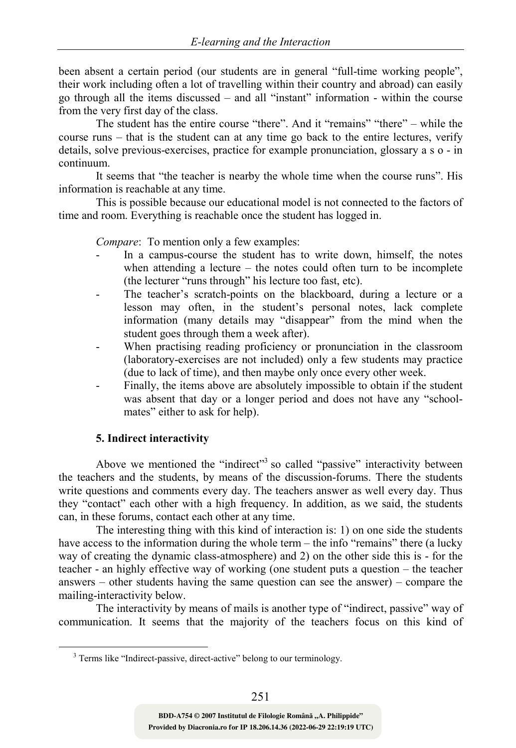been absent a certain period (our students are in general "full-time working people", their work including often a lot of travelling within their country and abroad) can easily go through all the items discussed – and all "instant" information - within the course from the very first day of the class.

The student has the entire course "there". And it "remains" "there" – while the course runs – that is the student can at any time go back to the entire lectures, verify details, solve previous-exercises, practice for example pronunciation, glossary a s o - in continuum.

It seems that "the teacher is nearby the whole time when the course runs". His information is reachable at any time.

This is possible because our educational model is not connected to the factors of time and room. Everything is reachable once the student has logged in.

Compare: To mention only a few examples:

- In a campus-course the student has to write down, himself, the notes when attending a lecture – the notes could often turn to be incomplete (the lecturer "runs through" his lecture too fast, etc).
- The teacher's scratch-points on the blackboard, during a lecture or a lesson may often, in the student's personal notes, lack complete information (many details may "disappear" from the mind when the student goes through them a week after).
- When practising reading proficiency or pronunciation in the classroom (laboratory-exercises are not included) only a few students may practice (due to lack of time), and then maybe only once every other week.
- Finally, the items above are absolutely impossible to obtain if the student was absent that day or a longer period and does not have any "schoolmates" either to ask for help).

## 5. Indirect interactivity

 $\overline{a}$ 

Above we mentioned the "indirect"<sup>3</sup> so called "passive" interactivity between the teachers and the students, by means of the discussion-forums. There the students write questions and comments every day. The teachers answer as well every day. Thus they "contact" each other with a high frequency. In addition, as we said, the students can, in these forums, contact each other at any time.

The interesting thing with this kind of interaction is: 1) on one side the students have access to the information during the whole term – the info "remains" there (a lucky way of creating the dynamic class-atmosphere) and 2) on the other side this is - for the teacher - an highly effective way of working (one student puts a question – the teacher answers – other students having the same question can see the answer) – compare the mailing-interactivity below.

The interactivity by means of mails is another type of "indirect, passive" way of communication. It seems that the majority of the teachers focus on this kind of

<sup>&</sup>lt;sup>3</sup> Terms like "Indirect-passive, direct-active" belong to our terminology.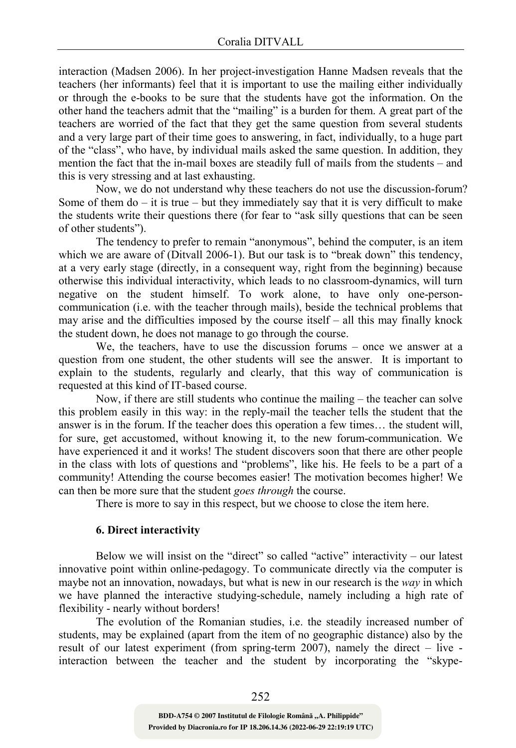interaction (Madsen 2006). In her project-investigation Hanne Madsen reveals that the teachers (her informants) feel that it is important to use the mailing either individually or through the e-books to be sure that the students have got the information. On the other hand the teachers admit that the "mailing" is a burden for them. A great part of the teachers are worried of the fact that they get the same question from several students and a very large part of their time goes to answering, in fact, individually, to a huge part of the "class", who have, by individual mails asked the same question. In addition, they mention the fact that the in-mail boxes are steadily full of mails from the students – and this is very stressing and at last exhausting.

Now, we do not understand why these teachers do not use the discussion-forum? Some of them  $do - it$  is true – but they immediately say that it is very difficult to make the students write their questions there (for fear to "ask silly questions that can be seen of other students").

The tendency to prefer to remain "anonymous", behind the computer, is an item which we are aware of (Ditvall 2006-1). But our task is to "break down" this tendency, at a very early stage (directly, in a consequent way, right from the beginning) because otherwise this individual interactivity, which leads to no classroom-dynamics, will turn negative on the student himself. To work alone, to have only one-personcommunication (i.e. with the teacher through mails), beside the technical problems that may arise and the difficulties imposed by the course itself – all this may finally knock the student down, he does not manage to go through the course.

We, the teachers, have to use the discussion forums – once we answer at a question from one student, the other students will see the answer. It is important to explain to the students, regularly and clearly, that this way of communication is requested at this kind of IT-based course.

Now, if there are still students who continue the mailing – the teacher can solve this problem easily in this way: in the reply-mail the teacher tells the student that the answer is in the forum. If the teacher does this operation a few times… the student will, for sure, get accustomed, without knowing it, to the new forum-communication. We have experienced it and it works! The student discovers soon that there are other people in the class with lots of questions and "problems", like his. He feels to be a part of a community! Attending the course becomes easier! The motivation becomes higher! We can then be more sure that the student goes through the course.

There is more to say in this respect, but we choose to close the item here.

## 6. Direct interactivity

Below we will insist on the "direct" so called "active" interactivity – our latest innovative point within online-pedagogy. To communicate directly via the computer is maybe not an innovation, nowadays, but what is new in our research is the way in which we have planned the interactive studying-schedule, namely including a high rate of flexibility - nearly without borders!

The evolution of the Romanian studies, i.e. the steadily increased number of students, may be explained (apart from the item of no geographic distance) also by the result of our latest experiment (from spring-term 2007), namely the direct – live interaction between the teacher and the student by incorporating the "skype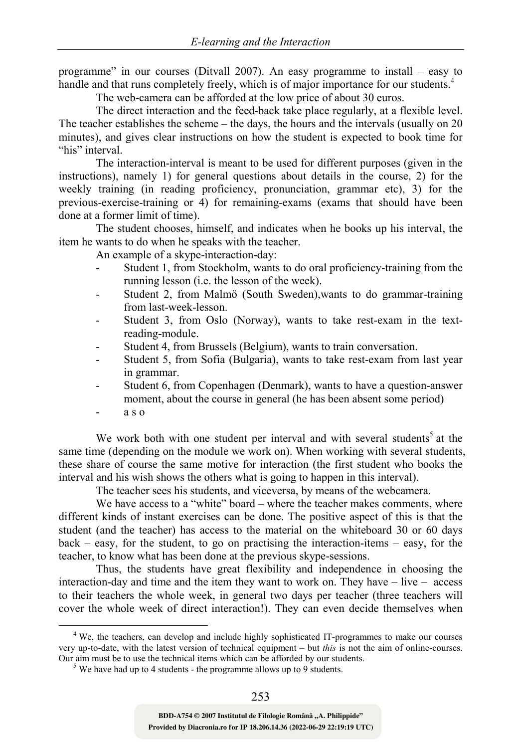programme" in our courses (Ditvall 2007). An easy programme to install – easy to handle and that runs completely freely, which is of major importance for our students.<sup>4</sup>

The web-camera can be afforded at the low price of about 30 euros.

The direct interaction and the feed-back take place regularly, at a flexible level. The teacher establishes the scheme – the days, the hours and the intervals (usually on 20 minutes), and gives clear instructions on how the student is expected to book time for "his" interval.

The interaction-interval is meant to be used for different purposes (given in the instructions), namely 1) for general questions about details in the course, 2) for the weekly training (in reading proficiency, pronunciation, grammar etc), 3) for the previous-exercise-training or 4) for remaining-exams (exams that should have been done at a former limit of time).

The student chooses, himself, and indicates when he books up his interval, the item he wants to do when he speaks with the teacher.

An example of a skype-interaction-day:

- Student 1, from Stockholm, wants to do oral proficiency-training from the running lesson (i.e. the lesson of the week).
- Student 2, from Malmö (South Sweden), wants to do grammar-training from last-week-lesson.
- Student 3, from Oslo (Norway), wants to take rest-exam in the textreading-module.
- Student 4, from Brussels (Belgium), wants to train conversation.
- Student 5, from Sofia (Bulgaria), wants to take rest-exam from last year in grammar.
- Student 6, from Copenhagen (Denmark), wants to have a question-answer moment, about the course in general (he has been absent some period)
- a s o

 $\overline{a}$ 

We work both with one student per interval and with several students<sup>5</sup> at the same time (depending on the module we work on). When working with several students, these share of course the same motive for interaction (the first student who books the interval and his wish shows the others what is going to happen in this interval).

The teacher sees his students, and viceversa, by means of the webcamera.

We have access to a "white" board – where the teacher makes comments, where different kinds of instant exercises can be done. The positive aspect of this is that the student (and the teacher) has access to the material on the whiteboard 30 or 60 days  $back - easy$ , for the student, to go on practising the interaction-items  $-$  easy, for the teacher, to know what has been done at the previous skype-sessions.

Thus, the students have great flexibility and independence in choosing the interaction-day and time and the item they want to work on. They have – live – access to their teachers the whole week, in general two days per teacher (three teachers will cover the whole week of direct interaction!). They can even decide themselves when

<sup>&</sup>lt;sup>4</sup> We, the teachers, can develop and include highly sophisticated IT-programmes to make our courses very up-to-date, with the latest version of technical equipment – but this is not the aim of online-courses. Our aim must be to use the technical items which can be afforded by our students.

<sup>&</sup>lt;sup>5</sup> We have had up to 4 students - the programme allows up to 9 students.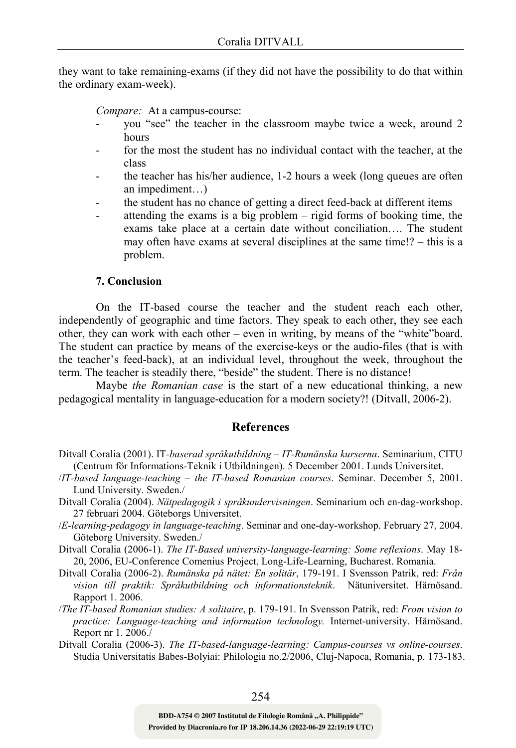they want to take remaining-exams (if they did not have the possibility to do that within the ordinary exam-week).

Compare: At a campus-course:

- you "see" the teacher in the classroom maybe twice a week, around 2 hours
- for the most the student has no individual contact with the teacher, at the class
- the teacher has his/her audience, 1-2 hours a week (long queues are often an impediment…)
- the student has no chance of getting a direct feed-back at different items
- attending the exams is a big problem  $-$  rigid forms of booking time, the exams take place at a certain date without conciliation…. The student may often have exams at several disciplines at the same time!? – this is a problem.

## 7. Conclusion

On the IT-based course the teacher and the student reach each other, independently of geographic and time factors. They speak to each other, they see each other, they can work with each other – even in writing, by means of the "white"board. The student can practice by means of the exercise-keys or the audio-files (that is with the teacher's feed-back), at an individual level, throughout the week, throughout the term. The teacher is steadily there, "beside" the student. There is no distance!

Maybe the Romanian case is the start of a new educational thinking, a new pedagogical mentality in language-education for a modern society?! (Ditvall, 2006-2).

#### **References**

- Ditvall Coralia (2001). IT-baserad språkutbildning IT-Rumänska kurserna. Seminarium, CITU (Centrum för Informations-Teknik i Utbildningen). 5 December 2001. Lunds Universitet.
- /IT-based language-teaching the IT-based Romanian courses. Seminar. December 5, 2001. Lund University. Sweden./
- Ditvall Coralia (2004). Nätpedagogik i språkundervisningen. Seminarium och en-dag-workshop. 27 februari 2004. Göteborgs Universitet.
- /E-learning-pedagogy in language-teaching. Seminar and one-day-workshop. February 27, 2004. Göteborg University. Sweden./
- Ditvall Coralia (2006-1). The IT-Based university-language-learning: Some reflexions. May 18- 20, 2006, EU-Conference Comenius Project, Long-Life-Learning, Bucharest. Romania.
- Ditvall Coralia (2006-2). Rumänska på nätet: En solitär, 179-191. I Svensson Patrik, red: Från vision till praktik: Språkutbildning och informationsteknik. Nätuniversitet. Härnösand. Rapport 1. 2006.
- /The IT-based Romanian studies: A solitaire, p. 179-191. In Svensson Patrik, red: From vision to practice: Language-teaching and information technology. Internet-university. Härnösand. Report nr 1. 2006./
- Ditvall Coralia (2006-3). The IT-based-language-learning: Campus-courses vs online-courses. Studia Universitatis Babes-Bolyiai: Philologia no.2/2006, Cluj-Napoca, Romania, p. 173-183.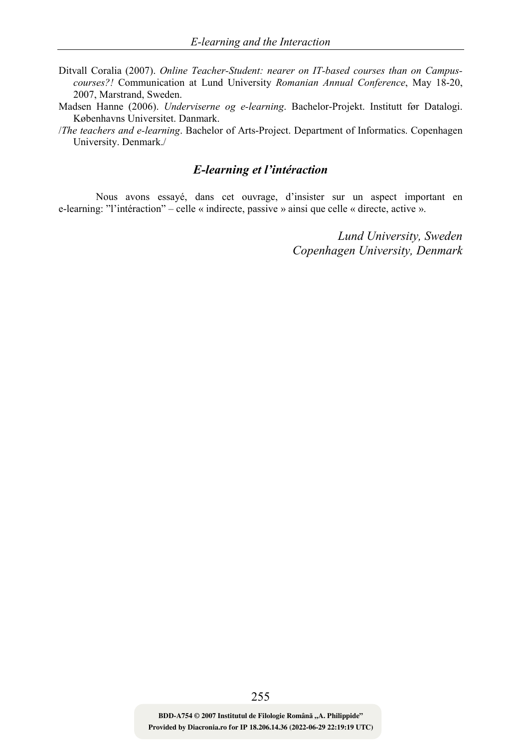- Ditvall Coralia (2007). Online Teacher-Student: nearer on IT-based courses than on Campuscourses?! Communication at Lund University Romanian Annual Conference, May 18-20, 2007, Marstrand, Sweden.
- Madsen Hanne (2006). Underviserne og e-learning. Bachelor-Projekt. Institutt før Datalogi. Københavns Universitet. Danmark.

/The teachers and e-learning. Bachelor of Arts-Project. Department of Informatics. Copenhagen University. Denmark./

# E-learning et l'intéraction

Nous avons essayé, dans cet ouvrage, d'insister sur un aspect important en e-learning: "l'intéraction" – celle « indirecte, passive » ainsi que celle « directe, active ».

> Lund University, Sweden Copenhagen University, Denmark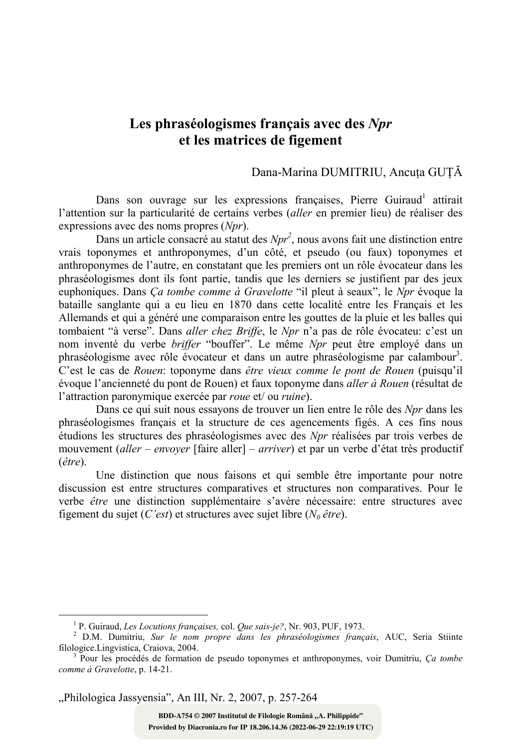# Les phraséologismes français avec des Npr et les matrices de figement

## Dana-Marina DUMITRIU, Ancuţa GUŢĂ

Dans son ouvrage sur les expressions françaises, Pierre Guiraud<sup>1</sup> attirait l'attention sur la particularité de certains verbes (aller en premier lieu) de réaliser des expressions avec des noms propres (Npr).

Dans un article consacré au statut des  $Npr^2$ , nous avons fait une distinction entre vrais toponymes et anthroponymes, d'un côté, et pseudo (ou faux) toponymes et anthroponymes de l'autre, en constatant que les premiers ont un rôle évocateur dans les phraséologismes dont ils font partie, tandis que les derniers se justifient par des jeux euphoniques. Dans Ca tombe comme à Gravelotte "il pleut à seaux", le Npr évoque la bataille sanglante qui a eu lieu en 1870 dans cette localité entre les Français et les Allemands et qui a généré une comparaison entre les gouttes de la pluie et les balles qui tombaient "à verse". Dans *aller chez Briffe*, le Npr n'a pas de rôle évocateu: c'est un nom inventé du verbe briffer "bouffer". Le même Npr peut être employé dans un phraséologisme avec rôle évocateur et dans un autre phraséologisme par calambour<sup>3</sup>. C'est le cas de Rouen: toponyme dans être vieux comme le pont de Rouen (puisqu'il évoque l'ancienneté du pont de Rouen) et faux toponyme dans aller à Rouen (résultat de l'attraction paronymique exercée par roue et/ ou ruine).

Dans ce qui suit nous essayons de trouver un lien entre le rôle des Npr dans les phraséologismes français et la structure de ces agencements figés. A ces fins nous étudions les structures des phraséologismes avec des Npr réalisées par trois verbes de mouvement (aller – envoyer [faire aller] – arriver) et par un verbe d'état très productif (être).

Une distinction que nous faisons et qui semble être importante pour notre discussion est entre structures comparatives et structures non comparatives. Pour le verbe être une distinction supplémentaire s'avère nécessaire: entre structures avec figement du sujet (C'est) et structures avec sujet libre ( $N_0$  être).

"Philologica Jassyensia", An III, Nr. 2, 2007, p. 257-264

l

<sup>&</sup>lt;sup>1</sup> P. Guiraud, Les Locutions françaises, col. Que sais-je?, Nr. 903, PUF, 1973.

<sup>&</sup>lt;sup>2</sup> D.M. Dumitriu, Sur le nom propre dans les phraséologismes français, AUC, Seria Stiinte filologice.Lingvistica, Craiova, 2004.

<sup>&</sup>lt;sup>3</sup> Pour les procédés de formation de pseudo toponymes et anthroponymes, voir Dumitriu, Ça tombe comme à Gravelotte, p. 14-21.